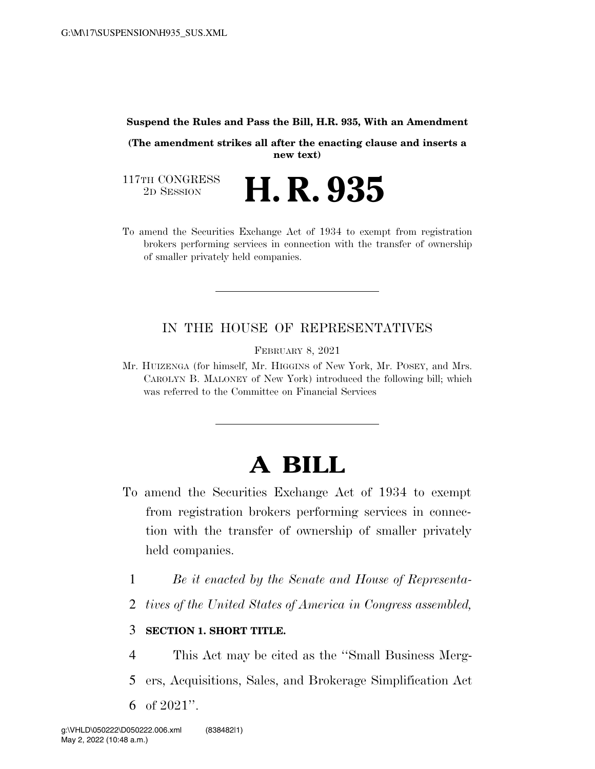#### **Suspend the Rules and Pass the Bill, H.R. 935, With an Amendment**

**(The amendment strikes all after the enacting clause and inserts a new text)** 

117TH CONGRESS<br>2D SESSION

- 2D SESSION **H. R. 935**
- To amend the Securities Exchange Act of 1934 to exempt from registration brokers performing services in connection with the transfer of ownership of smaller privately held companies.

## IN THE HOUSE OF REPRESENTATIVES

FEBRUARY 8, 2021

Mr. HUIZENGA (for himself, Mr. HIGGINS of New York, Mr. POSEY, and Mrs. CAROLYN B. MALONEY of New York) introduced the following bill; which was referred to the Committee on Financial Services

# **A BILL**

- To amend the Securities Exchange Act of 1934 to exempt from registration brokers performing services in connection with the transfer of ownership of smaller privately held companies.
	- 1 *Be it enacted by the Senate and House of Representa-*
	- 2 *tives of the United States of America in Congress assembled,*

### 3 **SECTION 1. SHORT TITLE.**

- 4 This Act may be cited as the ''Small Business Merg-
- 5 ers, Acquisitions, Sales, and Brokerage Simplification Act
- 6 of 2021''.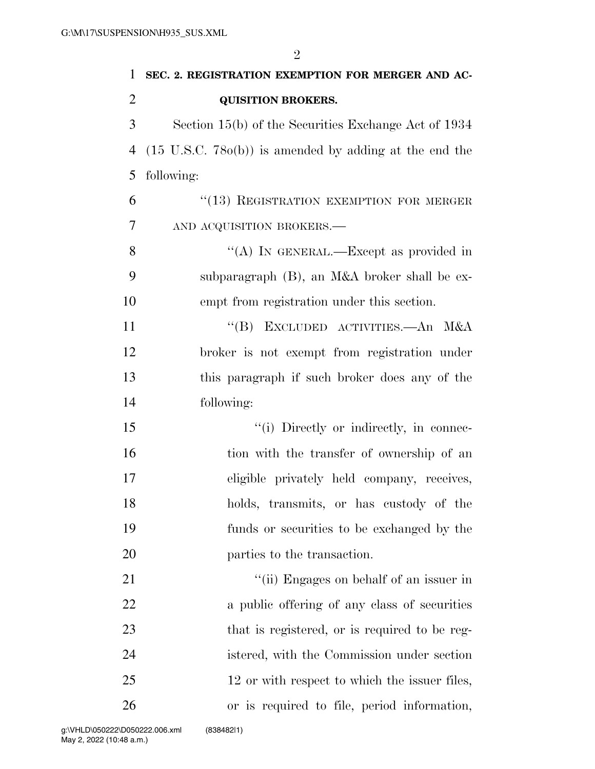| $\mathbf{1}$   | SEC. 2. REGISTRATION EXEMPTION FOR MERGER AND AC-                 |  |  |  |  |
|----------------|-------------------------------------------------------------------|--|--|--|--|
| $\overline{2}$ | <b>QUISITION BROKERS.</b>                                         |  |  |  |  |
| 3              | Section 15(b) of the Securities Exchange Act of 1934              |  |  |  |  |
| 4              | $(15 \text{ U.S.C. } 780(b))$ is amended by adding at the end the |  |  |  |  |
| 5              | following:                                                        |  |  |  |  |
| 6              | "(13) REGISTRATION EXEMPTION FOR MERGER                           |  |  |  |  |
| 7              | AND ACQUISITION BROKERS.-                                         |  |  |  |  |
| 8              | "(A) IN GENERAL.—Except as provided in                            |  |  |  |  |
| 9              | subparagraph (B), an M&A broker shall be ex-                      |  |  |  |  |
| 10             | empt from registration under this section.                        |  |  |  |  |
| 11             | "(B) EXCLUDED ACTIVITIES.—An M&A                                  |  |  |  |  |
| 12             | broker is not exempt from registration under                      |  |  |  |  |
| 13             | this paragraph if such broker does any of the                     |  |  |  |  |
| 14             | following:                                                        |  |  |  |  |
| 15             | "(i) Directly or indirectly, in connec-                           |  |  |  |  |
| 16             | tion with the transfer of ownership of an                         |  |  |  |  |
| 17             | eligible privately held company, receives,                        |  |  |  |  |
| 18             | holds, transmits, or has custody of the                           |  |  |  |  |
| 19             | funds or securities to be exchanged by the                        |  |  |  |  |
| 20             | parties to the transaction.                                       |  |  |  |  |
| 21             | "(ii) Engages on behalf of an issuer in                           |  |  |  |  |
| <u>22</u>      | a public offering of any class of securities                      |  |  |  |  |
| 23             | that is registered, or is required to be reg-                     |  |  |  |  |
| 24             | istered, with the Commission under section                        |  |  |  |  |
| 25             | 12 or with respect to which the issuer files,                     |  |  |  |  |
| 26             | or is required to file, period information,                       |  |  |  |  |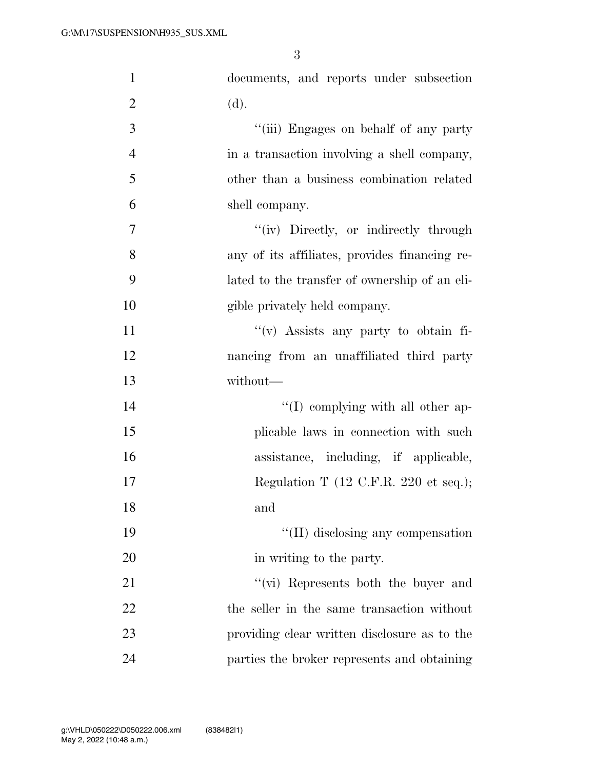| $\mathbf{1}$   | documents, and reports under subsection                  |
|----------------|----------------------------------------------------------|
| $\overline{2}$ | (d).                                                     |
| 3              | "(iii) Engages on behalf of any party                    |
| $\overline{4}$ | in a transaction involving a shell company,              |
| 5              | other than a business combination related                |
| 6              | shell company.                                           |
| 7              | "(iv) Directly, or indirectly through                    |
| 8              | any of its affiliates, provides financing re-            |
| 9              | lated to the transfer of ownership of an eli-            |
| 10             | gible privately held company.                            |
| 11             | "(v) Assists any party to obtain fi-                     |
| 12             | nancing from an unaffiliated third party                 |
| 13             | without—                                                 |
| 14             | "(I) complying with all other ap-                        |
| 15             | plicable laws in connection with such                    |
| 16             | assistance, including, if applicable,                    |
| 17             | Regulation T $(12 \text{ C.F.R. } 220 \text{ et seq.});$ |
| 18             | and                                                      |
| 19             | $\lq\lq$ (II) disclosing any compensation                |
| 20             | in writing to the party.                                 |
| 21             | $\lq\lq$ (vi) Represents both the buyer and              |
| 22             | the seller in the same transaction without               |
| 23             | providing clear written disclosure as to the             |
| 24             | parties the broker represents and obtaining              |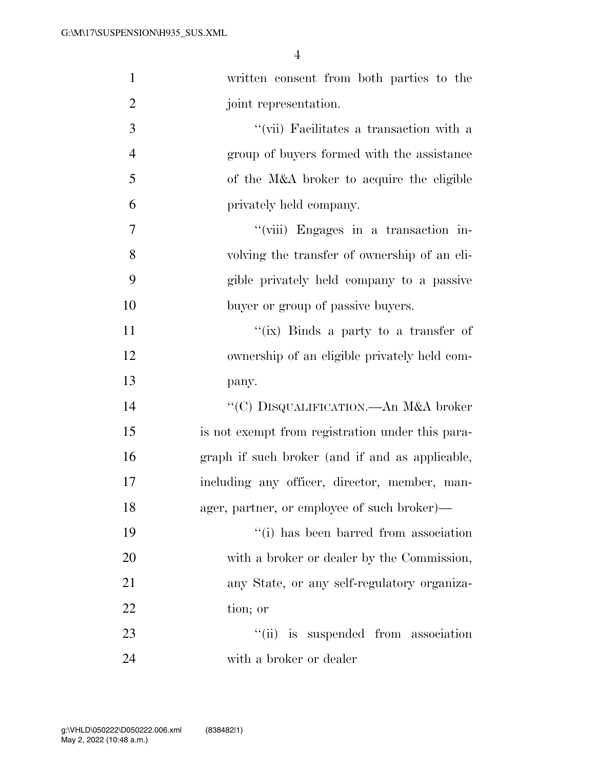| $\mathbf{1}$   | written consent from both parties to the         |  |  |  |  |  |
|----------------|--------------------------------------------------|--|--|--|--|--|
| $\overline{2}$ | joint representation.                            |  |  |  |  |  |
| 3              | "(vii) Facilitates a transaction with a          |  |  |  |  |  |
| $\overline{4}$ | group of buyers formed with the assistance       |  |  |  |  |  |
| 5              | of the M&A broker to acquire the eligible        |  |  |  |  |  |
| 6              | privately held company.                          |  |  |  |  |  |
| 7              | "(viii) Engages in a transaction in-             |  |  |  |  |  |
| 8              | volving the transfer of ownership of an eli-     |  |  |  |  |  |
| 9              | gible privately held company to a passive        |  |  |  |  |  |
| 10             | buyer or group of passive buyers.                |  |  |  |  |  |
| 11             | "(ix) Binds a party to a transfer of             |  |  |  |  |  |
| 12             | ownership of an eligible privately held com-     |  |  |  |  |  |
| 13             | pany.                                            |  |  |  |  |  |
| 14             | "(C) DISQUALIFICATION.—An M&A broker             |  |  |  |  |  |
| 15             | is not exempt from registration under this para- |  |  |  |  |  |
| 16             | graph if such broker (and if and as applicable,  |  |  |  |  |  |
| 17             | including any officer, director, member, man-    |  |  |  |  |  |
| 18             | ager, partner, or employee of such broker)—      |  |  |  |  |  |
| 19             | "(i) has been barred from association            |  |  |  |  |  |
| 20             | with a broker or dealer by the Commission,       |  |  |  |  |  |
| 21             | any State, or any self-regulatory organiza-      |  |  |  |  |  |
| 22             | tion; or                                         |  |  |  |  |  |
| 23             | "(ii) is suspended from association              |  |  |  |  |  |
| 24             | with a broker or dealer                          |  |  |  |  |  |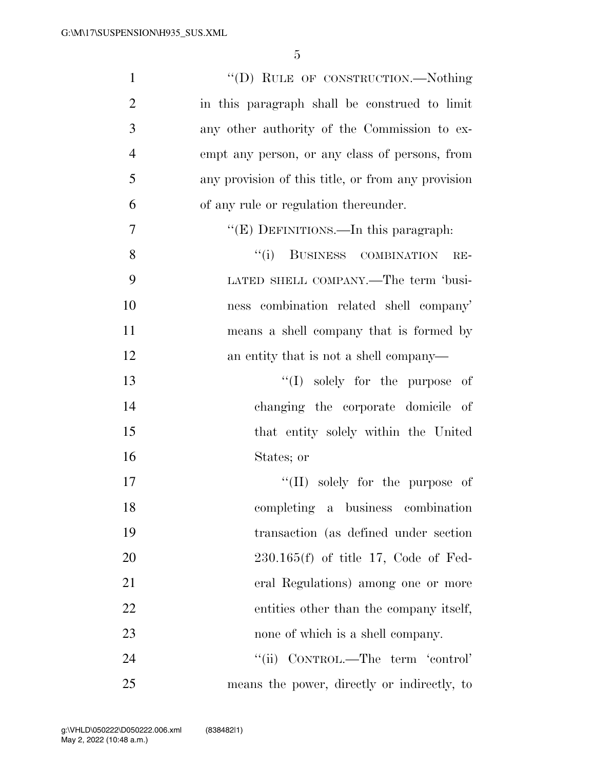| $\mathbf{1}$   | "(D) RULE OF CONSTRUCTION.—Nothing                 |
|----------------|----------------------------------------------------|
| $\overline{2}$ | in this paragraph shall be construed to limit      |
| 3              | any other authority of the Commission to ex-       |
| $\overline{4}$ | empt any person, or any class of persons, from     |
| 5              | any provision of this title, or from any provision |
| 6              | of any rule or regulation thereunder.              |
| 7              | " $(E)$ DEFINITIONS.—In this paragraph:            |
| 8              | "(i) BUSINESS COMBINATION<br>$RE-$                 |
| 9              | LATED SHELL COMPANY.—The term 'busi-               |
| 10             | ness combination related shell company'            |
| 11             | means a shell company that is formed by            |
| 12             | an entity that is not a shell company—             |
| 13             | $\lq\lq$ solely for the purpose of                 |
| 14             | changing the corporate domicile of                 |
| 15             | that entity solely within the United               |
| 16             | States; or                                         |
| 17             | $\lq\lq$ (II) solely for the purpose of            |
| 18             | completing a business combination                  |
| 19             | transaction (as defined under section              |
| 20             | $230.165(f)$ of title 17, Code of Fed-             |
| 21             | eral Regulations) among one or more                |
| 22             | entities other than the company itself,            |
| 23             | none of which is a shell company.                  |
| 24             | ``(ii)<br>CONTROL.—The term 'control'              |
| 25             | means the power, directly or indirectly, to        |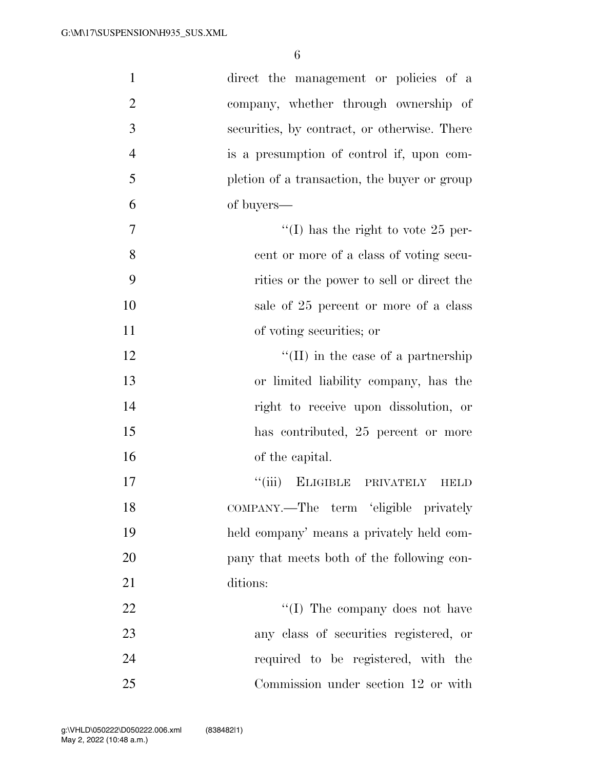| $\mathbf{1}$   | direct the management or policies of a       |
|----------------|----------------------------------------------|
| $\overline{2}$ | company, whether through ownership of        |
| 3              | securities, by contract, or otherwise. There |
| $\overline{4}$ | is a presumption of control if, upon com-    |
| 5              | pletion of a transaction, the buyer or group |
| 6              | of buyers—                                   |
| 7              | "(I) has the right to vote 25 per-           |
| 8              | cent or more of a class of voting secu-      |
| 9              | rities or the power to sell or direct the    |
| 10             | sale of 25 percent or more of a class        |
| 11             | of voting securities; or                     |
| 12             | $\lq\lq$ (II) in the case of a partnership   |
| 13             | or limited liability company, has the        |
| 14             | right to receive upon dissolution, or        |
| 15             | has contributed, 25 percent or more          |
| 16             | of the capital.                              |
| 17             | ``(iii)<br>ELIGIBLE PRIVATELY<br>HBLD        |
| 18             | COMPANY.—The term 'eligible privately        |
| 19             | held company' means a privately held com-    |
| 20             | pany that meets both of the following con-   |
| 21             | ditions:                                     |
| 22             | "(I) The company does not have               |
| 23             | any class of securities registered, or       |
| 24             | required to be registered, with the          |
| 25             | Commission under section 12 or with          |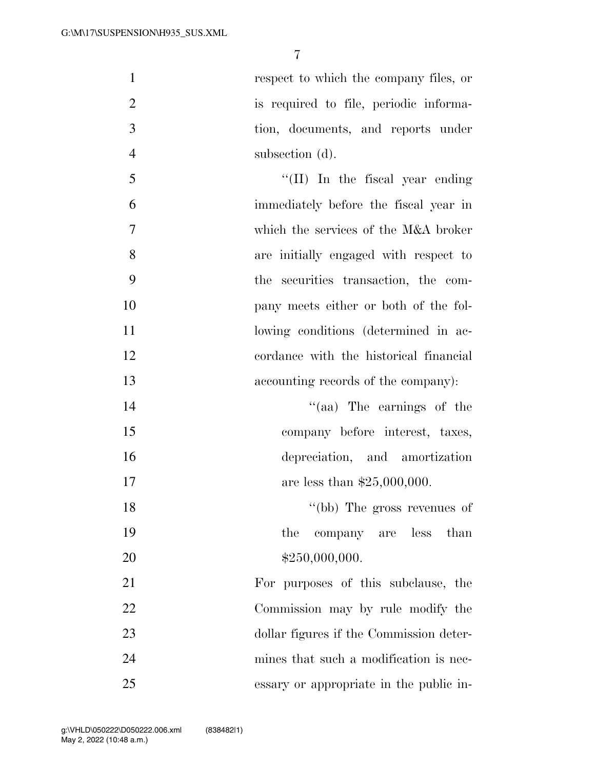respect to which the company files, or is required to file, periodic informa- tion, documents, and reports under subsection (d). 5 ''(II) In the fiscal year ending immediately before the fiscal year in which the services of the M&A broker are initially engaged with respect to the securities transaction, the com-pany meets either or both of the fol-

- 11 lowing conditions (determined in ac-cordance with the historical financial
- accounting records of the company):
- 14 ''(aa) The earnings of the company before interest, taxes, depreciation, and amortization 17 are less than \$25,000,000.
- 18 ''(bb) The gross revenues of 19 the company are less than 20 \$250,000,000.

 For purposes of this subclause, the Commission may by rule modify the dollar figures if the Commission deter- mines that such a modification is nec-essary or appropriate in the public in-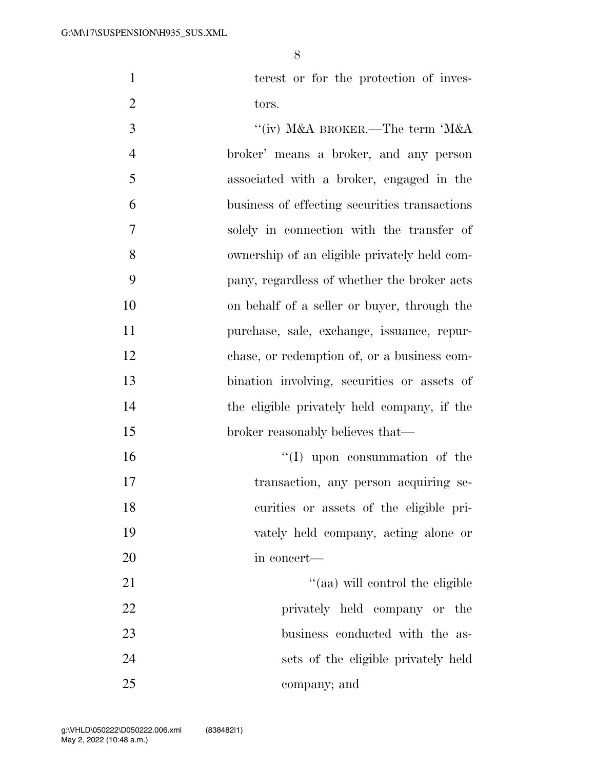1 terest or for the protection of inves-2 tors.

3 ''(iv) M&A BROKER.—The term 'M&A broker' means a broker, and any person associated with a broker, engaged in the business of effecting securities transactions solely in connection with the transfer of ownership of an eligible privately held com- pany, regardless of whether the broker acts on behalf of a seller or buyer, through the purchase, sale, exchange, issuance, repur- chase, or redemption of, or a business com- bination involving, securities or assets of the eligible privately held company, if the 15 broker reasonably believes that—  $\text{``(I)}$  upon consummation of the

transaction, any person acquiring se-

curities or assets of the eligible pri-

vately held company, acting alone or

in concert—

21 ''(aa) will control the eligible privately held company or the 23 business conducted with the as- sets of the eligible privately held company; and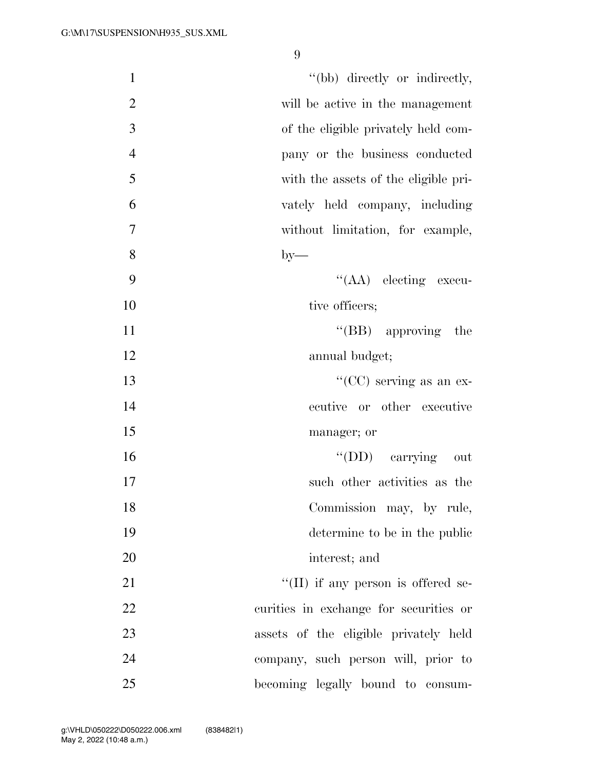| $\mathbf{1}$   | "(bb) directly or indirectly,              |
|----------------|--------------------------------------------|
| $\overline{2}$ | will be active in the management           |
| 3              | of the eligible privately held com-        |
| $\overline{4}$ | pany or the business conducted             |
| 5              | with the assets of the eligible pri-       |
| 6              | vately held company, including             |
| 7              | without limitation, for example,           |
| 8              | $by-$                                      |
| 9              | $\lq\lq$ (AA) electing execu-              |
| 10             | tive officers;                             |
| 11             | $\lq\lq$ (BB) approving the                |
| 12             | annual budget;                             |
| 13             | "( $CC$ ) serving as an ex-                |
| 14             | ecutive or other executive                 |
| 15             | manager; or                                |
| 16             | "(DD) carrying out                         |
| 17             | such other activities as the               |
| 18             | Commission may, by rule,                   |
| 19             | determine to be in the public              |
| 20             | interest; and                              |
| 21             | $\lq\lq$ (II) if any person is offered se- |
| 22             | curities in exchange for securities or     |
| 23             | assets of the eligible privately held      |
| 24             | company, such person will, prior to        |
| 25             | becoming legally bound to consum-          |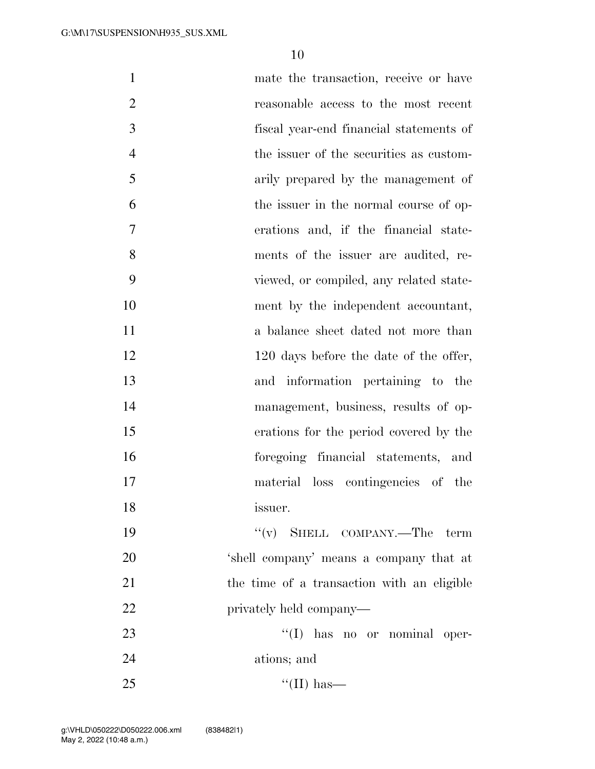| $\mathbf{1}$   | mate the transaction, receive or have      |
|----------------|--------------------------------------------|
| $\overline{2}$ | reasonable access to the most recent       |
| 3              | fiscal year-end financial statements of    |
| $\overline{4}$ | the issuer of the securities as custom-    |
| 5              | arily prepared by the management of        |
| 6              | the issuer in the normal course of op-     |
| 7              | erations and, if the financial state-      |
| 8              | ments of the issuer are audited, re-       |
| 9              | viewed, or compiled, any related state-    |
| 10             | ment by the independent accountant,        |
| 11             | a balance sheet dated not more than        |
| 12             | 120 days before the date of the offer,     |
| 13             | and information pertaining to the          |
| 14             | management, business, results of op-       |
| 15             | erations for the period covered by the     |
| 16             | foregoing financial statements, and        |
| 17             | material loss contingencies of the         |
| 18             | issuer.                                    |
| 19             | $f'(v)$ SHELL COMPANY.—The term            |
| 20             | 'shell company' means a company that at    |
| 21             | the time of a transaction with an eligible |
| 22             | privately held company—                    |
| 23             | $\lq\lq$ (I) has no or nominal oper-       |
| 24             | ations; and                                |
| 25             | $\lq\lq$ (II) has—                         |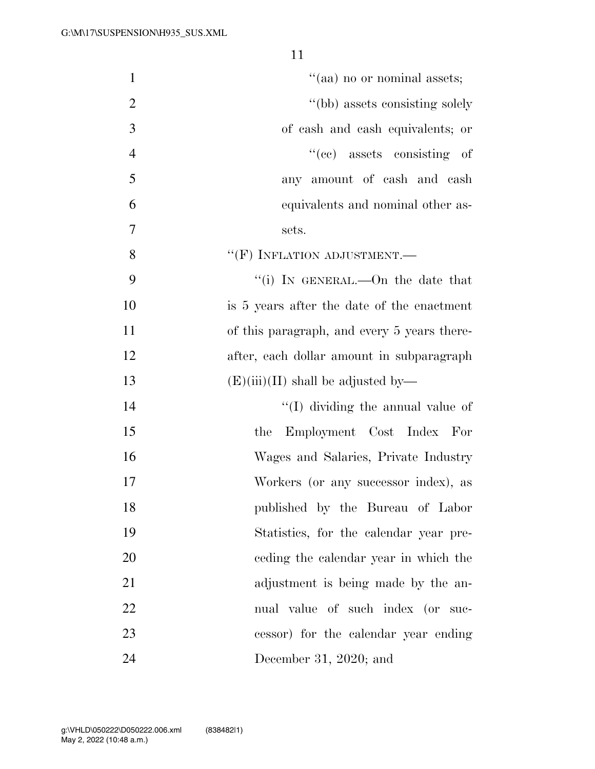| $\mathbf{1}$   | "(aa) no or nominal assets;                 |
|----------------|---------------------------------------------|
| $\overline{2}$ | "(bb) assets consisting solely              |
| 3              | of cash and cash equivalents; or            |
| $\overline{4}$ | $``(ec)$ assets consisting of               |
| 5              | any amount of cash and cash                 |
| 6              | equivalents and nominal other as-           |
| $\overline{7}$ | sets.                                       |
| 8              | $``$ (F) INFLATION ADJUSTMENT.—             |
| 9              | "(i) IN GENERAL.—On the date that           |
| 10             | is 5 years after the date of the enactment  |
| 11             | of this paragraph, and every 5 years there- |
| 12             | after, each dollar amount in subparagraph   |
| 13             | $(E)(iii)(II)$ shall be adjusted by—        |
| 14             | "(I) dividing the annual value of           |
| 15             | Employment Cost Index For<br>the            |
| 16             | Wages and Salaries, Private Industry        |
| 17             | Workers (or any successor index), as        |
| 18             | published by the Bureau of Labor            |
| 19             | Statistics, for the calendar year pre-      |
| 20             | eeding the calendar year in which the       |
| 21             | adjustment is being made by the an-         |
| 22             | nual value of such index (or suc-           |
| 23             | cessor) for the calendar year ending        |
| 24             | December 31, 2020; and                      |